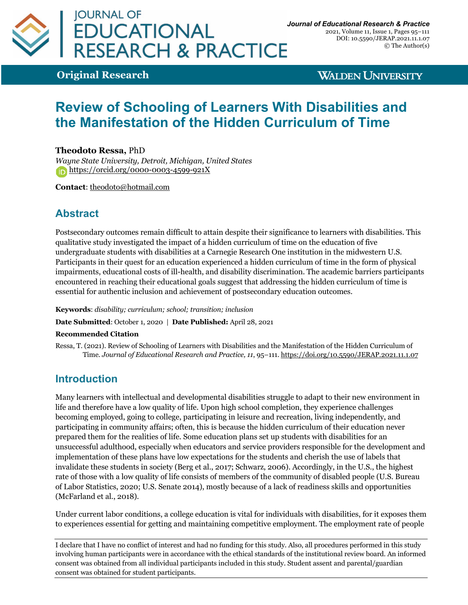

2021, Volume 11, Issue 1, Pages 95–111 DOI: 10.5590/JERAP.2021.11.1.07 © The Author(s)

**Original Research**

**WALDEN UNIVERSITY** 

# **Review of Schooling of Learners With Disabilities and the Manifestation of the Hidden Curriculum of Time**

### **Theodoto Ressa,** PhD

*Wayne State University, Detroit, Michigan, United States* https://orcid.org/0000-0003-4599-921X

**Contact**: theodoto@hotmail.com

# **Abstract**

Postsecondary outcomes remain difficult to attain despite their significance to learners with disabilities. This qualitative study investigated the impact of a hidden curriculum of time on the education of five undergraduate students with disabilities at a Carnegie Research One institution in the midwestern U.S. Participants in their quest for an education experienced a hidden curriculum of time in the form of physical impairments, educational costs of ill-health, and disability discrimination. The academic barriers participants encountered in reaching their educational goals suggest that addressing the hidden curriculum of time is essential for authentic inclusion and achievement of postsecondary education outcomes.

**Keywords**: *disability; curriculum; school; transition; inclusion*

**Date Submitted**: October 1, 2020 | **Date Published:** April 28, 2021

#### **Recommended Citation**

Ressa, T. (2021). Review of Schooling of Learners with Disabilities and the Manifestation of the Hidden Curriculum of Time. *Journal of Educational Research and Practice, 11*, 95–111. https://doi.org/10.5590/JERAP.2021.11.1.07

### **Introduction**

Many learners with intellectual and developmental disabilities struggle to adapt to their new environment in life and therefore have a low quality of life. Upon high school completion, they experience challenges becoming employed, going to college, participating in leisure and recreation, living independently, and participating in community affairs; often, this is because the hidden curriculum of their education never prepared them for the realities of life. Some education plans set up students with disabilities for an unsuccessful adulthood, especially when educators and service providers responsible for the development and implementation of these plans have low expectations for the students and cherish the use of labels that invalidate these students in society (Berg et al., 2017; Schwarz, 2006). Accordingly, in the U.S., the highest rate of those with a low quality of life consists of members of the community of disabled people (U.S. Bureau of Labor Statistics, 2020; U.S. Senate 2014), mostly because of a lack of readiness skills and opportunities (McFarland et al., 2018).

Under current labor conditions, a college education is vital for individuals with disabilities, for it exposes them to experiences essential for getting and maintaining competitive employment. The employment rate of people

I declare that I have no conflict of interest and had no funding for this study. Also, all procedures performed in this study involving human participants were in accordance with the ethical standards of the institutional review board. An informed consent was obtained from all individual participants included in this study. Student assent and parental/guardian consent was obtained for student participants.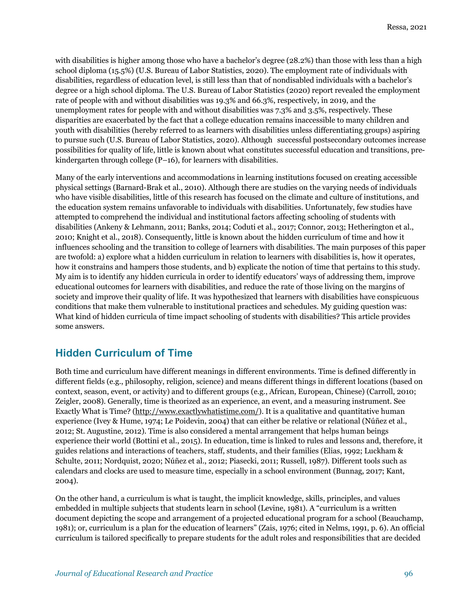with disabilities is higher among those who have a bachelor's degree (28.2%) than those with less than a high school diploma (15.5%) (U.S. Bureau of Labor Statistics, 2020). The employment rate of individuals with disabilities, regardless of education level, is still less than that of nondisabled individuals with a bachelor's degree or a high school diploma. The U.S. Bureau of Labor Statistics (2020) report revealed the employment rate of people with and without disabilities was 19.3% and 66.3%, respectively, in 2019, and the unemployment rates for people with and without disabilities was 7.3% and 3.5%, respectively. These disparities are exacerbated by the fact that a college education remains inaccessible to many children and youth with disabilities (hereby referred to as learners with disabilities unless differentiating groups) aspiring to pursue such (U.S. Bureau of Labor Statistics, 2020). Although successful postsecondary outcomes increase possibilities for quality of life, little is known about what constitutes successful education and transitions, prekindergarten through college (P–16), for learners with disabilities.

Many of the early interventions and accommodations in learning institutions focused on creating accessible physical settings (Barnard-Brak et al., 2010). Although there are studies on the varying needs of individuals who have visible disabilities, little of this research has focused on the climate and culture of institutions, and the education system remains unfavorable to individuals with disabilities. Unfortunately, few studies have attempted to comprehend the individual and institutional factors affecting schooling of students with disabilities (Ankeny & Lehmann, 2011; Banks, 2014; Coduti et al., 2017; Connor, 2013; Hetherington et al., 2010; Knight et al., 2018). Consequently, little is known about the hidden curriculum of time and how it influences schooling and the transition to college of learners with disabilities. The main purposes of this paper are twofold: a) explore what a hidden curriculum in relation to learners with disabilities is, how it operates, how it constrains and hampers those students, and b) explicate the notion of time that pertains to this study. My aim is to identify any hidden curricula in order to identify educators' ways of addressing them, improve educational outcomes for learners with disabilities, and reduce the rate of those living on the margins of society and improve their quality of life. It was hypothesized that learners with disabilities have conspicuous conditions that make them vulnerable to institutional practices and schedules. My guiding question was: What kind of hidden curricula of time impact schooling of students with disabilities? This article provides some answers.

# **Hidden Curriculum of Time**

Both time and curriculum have different meanings in different environments. Time is defined differently in different fields (e.g., philosophy, religion, science) and means different things in different locations (based on context, season, event, or activity) and to different groups (e.g., African, European, Chinese) (Carroll, 2010; Zeigler, 2008). Generally, time is theorized as an experience, an event, and a measuring instrument. See Exactly What is Time? (http://www.exactlywhatistime.com/). It is a qualitative and quantitative human experience (Ivey & Hume, 1974; Le Poidevin, 2004) that can either be relative or relational (Núñez et al., 2012; St. Augustine, 2012). Time is also considered a mental arrangement that helps human beings experience their world (Bottini et al., 2015). In education, time is linked to rules and lessons and, therefore, it guides relations and interactions of teachers, staff, students, and their families (Elias, 1992; Luckham & Schulte, 2011; Nordquist, 2020; Núñez et al., 2012; Piasecki, 2011; Russell, 1987). Different tools such as calendars and clocks are used to measure time, especially in a school environment (Bunnag, 2017; Kant, 2004).

On the other hand, a curriculum is what is taught, the implicit knowledge, skills, principles, and values embedded in multiple subjects that students learn in school (Levine, 1981). A "curriculum is a written document depicting the scope and arrangement of a projected educational program for a school (Beauchamp, 1981); or, curriculum is a plan for the education of learners" (Zais, 1976; cited in Nelms, 1991, p. 6). An official curriculum is tailored specifically to prepare students for the adult roles and responsibilities that are decided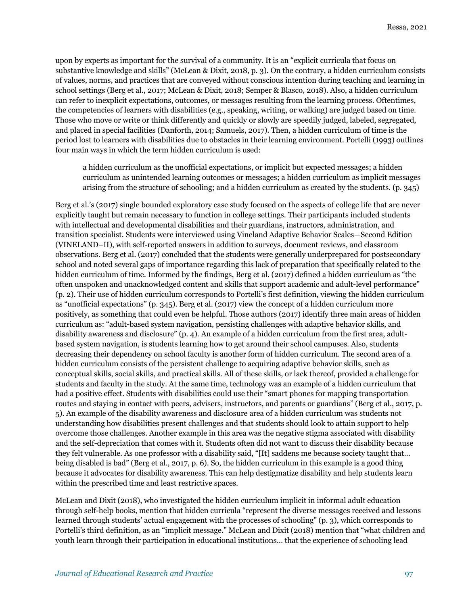upon by experts as important for the survival of a community. It is an "explicit curricula that focus on substantive knowledge and skills" (McLean & Dixit, 2018, p. 3). On the contrary, a hidden curriculum consists of values, norms, and practices that are conveyed without conscious intention during teaching and learning in school settings (Berg et al., 2017; McLean & Dixit, 2018; Semper & Blasco, 2018). Also, a hidden curriculum can refer to inexplicit expectations, outcomes, or messages resulting from the learning process. Oftentimes, the competencies of learners with disabilities (e.g., speaking, writing, or walking) are judged based on time. Those who move or write or think differently and quickly or slowly are speedily judged, labeled, segregated, and placed in special facilities (Danforth, 2014; Samuels, 2017). Then, a hidden curriculum of time is the period lost to learners with disabilities due to obstacles in their learning environment. Portelli (1993) outlines four main ways in which the term hidden curriculum is used:

a hidden curriculum as the unofficial expectations, or implicit but expected messages; a hidden curriculum as unintended learning outcomes or messages; a hidden curriculum as implicit messages arising from the structure of schooling; and a hidden curriculum as created by the students. (p. 345)

Berg et al.'s (2017) single bounded exploratory case study focused on the aspects of college life that are never explicitly taught but remain necessary to function in college settings. Their participants included students with intellectual and developmental disabilities and their guardians, instructors, administration, and transition specialist. Students were interviewed using Vineland Adaptive Behavior Scales—Second Edition (VINELAND–II), with self-reported answers in addition to surveys, document reviews, and classroom observations. Berg et al. (2017) concluded that the students were generally underprepared for postsecondary school and noted several gaps of importance regarding this lack of preparation that specifically related to the hidden curriculum of time. Informed by the findings, Berg et al. (2017) defined a hidden curriculum as "the often unspoken and unacknowledged content and skills that support academic and adult-level performance" (p. 2). Their use of hidden curriculum corresponds to Portelli's first definition, viewing the hidden curriculum as "unofficial expectations" (p. 345). Berg et al. (2017) view the concept of a hidden curriculum more positively, as something that could even be helpful. Those authors (2017) identify three main areas of hidden curriculum as: "adult-based system navigation, persisting challenges with adaptive behavior skills, and disability awareness and disclosure" (p. 4). An example of a hidden curriculum from the first area, adultbased system navigation, is students learning how to get around their school campuses. Also, students decreasing their dependency on school faculty is another form of hidden curriculum. The second area of a hidden curriculum consists of the persistent challenge to acquiring adaptive behavior skills, such as conceptual skills, social skills, and practical skills. All of these skills, or lack thereof, provided a challenge for students and faculty in the study. At the same time, technology was an example of a hidden curriculum that had a positive effect. Students with disabilities could use their "smart phones for mapping transportation routes and staying in contact with peers, advisers, instructors, and parents or guardians" (Berg et al., 2017, p. 5). An example of the disability awareness and disclosure area of a hidden curriculum was students not understanding how disabilities present challenges and that students should look to attain support to help overcome those challenges. Another example in this area was the negative stigma associated with disability and the self-depreciation that comes with it. Students often did not want to discuss their disability because they felt vulnerable. As one professor with a disability said, "[It] saddens me because society taught that… being disabled is bad" (Berg et al., 2017, p. 6). So, the hidden curriculum in this example is a good thing because it advocates for disability awareness. This can help destigmatize disability and help students learn within the prescribed time and least restrictive spaces.

McLean and Dixit (2018), who investigated the hidden curriculum implicit in informal adult education through self-help books, mention that hidden curricula "represent the diverse messages received and lessons learned through students' actual engagement with the processes of schooling" (p. 3), which corresponds to Portelli's third definition, as an "implicit message." McLean and Dixit (2018) mention that "what children and youth learn through their participation in educational institutions… that the experience of schooling lead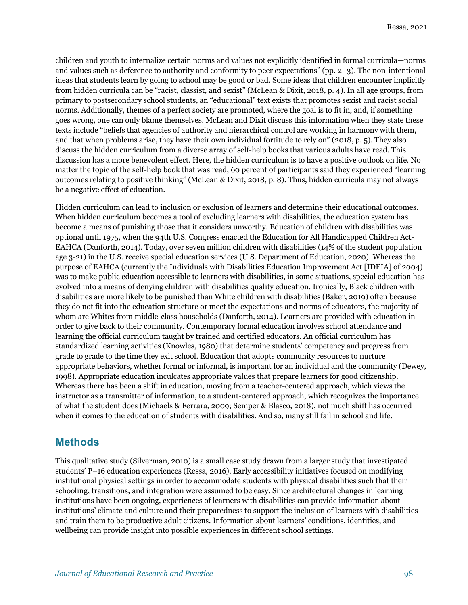children and youth to internalize certain norms and values not explicitly identified in formal curricula—norms and values such as deference to authority and conformity to peer expectations" (pp. 2–3). The non-intentional ideas that students learn by going to school may be good or bad. Some ideas that children encounter implicitly from hidden curricula can be "racist, classist, and sexist" (McLean & Dixit, 2018, p. 4). In all age groups, from primary to postsecondary school students, an "educational" text exists that promotes sexist and racist social norms. Additionally, themes of a perfect society are promoted, where the goal is to fit in, and, if something goes wrong, one can only blame themselves. McLean and Dixit discuss this information when they state these texts include "beliefs that agencies of authority and hierarchical control are working in harmony with them, and that when problems arise, they have their own individual fortitude to rely on" (2018, p. 5). They also discuss the hidden curriculum from a diverse array of self-help books that various adults have read. This discussion has a more benevolent effect. Here, the hidden curriculum is to have a positive outlook on life. No matter the topic of the self-help book that was read, 60 percent of participants said they experienced "learning outcomes relating to positive thinking" (McLean & Dixit, 2018, p. 8). Thus, hidden curricula may not always be a negative effect of education.

Hidden curriculum can lead to inclusion or exclusion of learners and determine their educational outcomes. When hidden curriculum becomes a tool of excluding learners with disabilities, the education system has become a means of punishing those that it considers unworthy. Education of children with disabilities was optional until 1975, when the 94th U.S. Congress enacted the Education for All Handicapped Children Act-EAHCA (Danforth, 2014). Today, over seven million children with disabilities (14% of the student population age 3-21) in the U.S. receive special education services (U.S. Department of Education, 2020). Whereas the purpose of EAHCA (currently the Individuals with Disabilities Education Improvement Act [IDEIA] of 2004) was to make public education accessible to learners with disabilities, in some situations, special education has evolved into a means of denying children with disabilities quality education. Ironically, Black children with disabilities are more likely to be punished than White children with disabilities (Baker, 2019) often because they do not fit into the education structure or meet the expectations and norms of educators, the majority of whom are Whites from middle-class households (Danforth, 2014). Learners are provided with education in order to give back to their community. Contemporary formal education involves school attendance and learning the official curriculum taught by trained and certified educators. An official curriculum has standardized learning activities (Knowles, 1980) that determine students' competency and progress from grade to grade to the time they exit school. Education that adopts community resources to nurture appropriate behaviors, whether formal or informal, is important for an individual and the community (Dewey, 1998). Appropriate education inculcates appropriate values that prepare learners for good citizenship. Whereas there has been a shift in education, moving from a teacher-centered approach, which views the instructor as a transmitter of information, to a student-centered approach, which recognizes the importance of what the student does (Michaels & Ferrara, 2009; Semper & Blasco, 2018), not much shift has occurred when it comes to the education of students with disabilities. And so, many still fail in school and life.

### **Methods**

This qualitative study (Silverman, 2010) is a small case study drawn from a larger study that investigated students' P–16 education experiences (Ressa, 2016). Early accessibility initiatives focused on modifying institutional physical settings in order to accommodate students with physical disabilities such that their schooling, transitions, and integration were assumed to be easy. Since architectural changes in learning institutions have been ongoing, experiences of learners with disabilities can provide information about institutions' climate and culture and their preparedness to support the inclusion of learners with disabilities and train them to be productive adult citizens. Information about learners' conditions, identities, and wellbeing can provide insight into possible experiences in different school settings.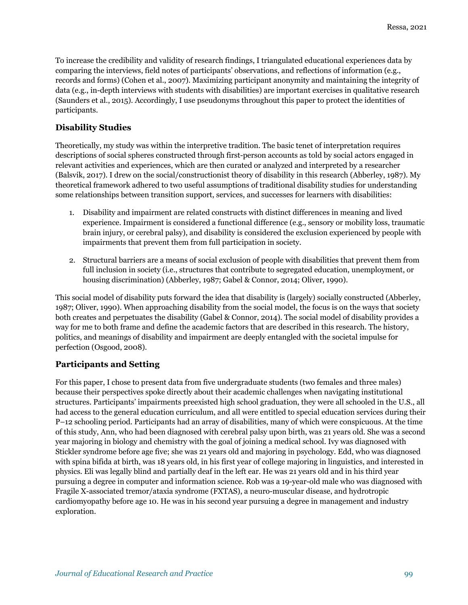To increase the credibility and validity of research findings, I triangulated educational experiences data by comparing the interviews, field notes of participants' observations, and reflections of information (e.g., records and forms) (Cohen et al., 2007). Maximizing participant anonymity and maintaining the integrity of data (e.g., in-depth interviews with students with disabilities) are important exercises in qualitative research (Saunders et al., 2015). Accordingly, I use pseudonyms throughout this paper to protect the identities of participants.

### **Disability Studies**

Theoretically, my study was within the interpretive tradition. The basic tenet of interpretation requires descriptions of social spheres constructed through first-person accounts as told by social actors engaged in relevant activities and experiences, which are then curated or analyzed and interpreted by a researcher (Balsvik, 2017). I drew on the social/constructionist theory of disability in this research (Abberley, 1987). My theoretical framework adhered to two useful assumptions of traditional disability studies for understanding some relationships between transition support, services, and successes for learners with disabilities:

- 1. Disability and impairment are related constructs with distinct differences in meaning and lived experience. Impairment is considered a functional difference (e.g., sensory or mobility loss, traumatic brain injury, or cerebral palsy), and disability is considered the exclusion experienced by people with impairments that prevent them from full participation in society.
- 2. Structural barriers are a means of social exclusion of people with disabilities that prevent them from full inclusion in society (i.e., structures that contribute to segregated education, unemployment, or housing discrimination) (Abberley, 1987; Gabel & Connor, 2014; Oliver, 1990).

This social model of disability puts forward the idea that disability is (largely) socially constructed (Abberley, 1987; Oliver, 1990). When approaching disability from the social model, the focus is on the ways that society both creates and perpetuates the disability (Gabel & Connor, 2014). The social model of disability provides a way for me to both frame and define the academic factors that are described in this research. The history, politics, and meanings of disability and impairment are deeply entangled with the societal impulse for perfection (Osgood, 2008).

### **Participants and Setting**

For this paper, I chose to present data from five undergraduate students (two females and three males) because their perspectives spoke directly about their academic challenges when navigating institutional structures. Participants' impairments preexisted high school graduation, they were all schooled in the U.S., all had access to the general education curriculum, and all were entitled to special education services during their P–12 schooling period. Participants had an array of disabilities, many of which were conspicuous. At the time of this study, Ann, who had been diagnosed with cerebral palsy upon birth, was 21 years old. She was a second year majoring in biology and chemistry with the goal of joining a medical school. Ivy was diagnosed with Stickler syndrome before age five; she was 21 years old and majoring in psychology. Edd, who was diagnosed with spina bifida at birth, was 18 years old, in his first year of college majoring in linguistics, and interested in physics. Eli was legally blind and partially deaf in the left ear. He was 21 years old and in his third year pursuing a degree in computer and information science. Rob was a 19-year-old male who was diagnosed with Fragile X-associated tremor/ataxia syndrome (FXTAS), a neuro-muscular disease, and hydrotropic cardiomyopathy before age 10. He was in his second year pursuing a degree in management and industry exploration.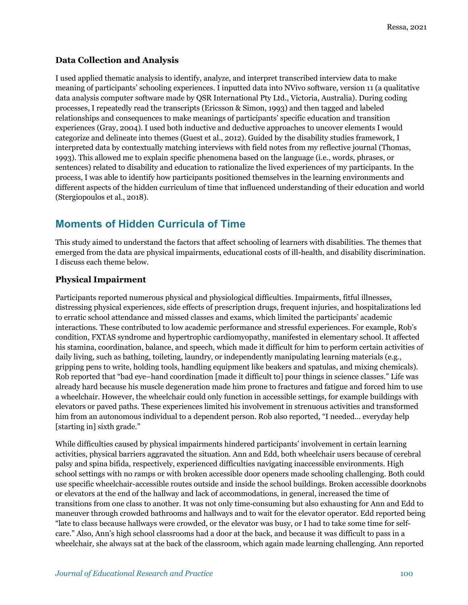### **Data Collection and Analysis**

I used applied thematic analysis to identify, analyze, and interpret transcribed interview data to make meaning of participants' schooling experiences. I inputted data into NVivo software, version 11 (a qualitative data analysis computer software made by QSR International Pty Ltd., Victoria, Australia). During coding processes, I repeatedly read the transcripts (Ericsson & Simon, 1993) and then tagged and labeled relationships and consequences to make meanings of participants' specific education and transition experiences (Gray, 2004). I used both inductive and deductive approaches to uncover elements I would categorize and delineate into themes (Guest et al., 2012). Guided by the disability studies framework, I interpreted data by contextually matching interviews with field notes from my reflective journal (Thomas, 1993). This allowed me to explain specific phenomena based on the language (i.e., words, phrases, or sentences) related to disability and education to rationalize the lived experiences of my participants. In the process, I was able to identify how participants positioned themselves in the learning environments and different aspects of the hidden curriculum of time that influenced understanding of their education and world (Stergiopoulos et al., 2018).

# **Moments of Hidden Curricula of Time**

This study aimed to understand the factors that affect schooling of learners with disabilities. The themes that emerged from the data are physical impairments, educational costs of ill-health, and disability discrimination. I discuss each theme below.

### **Physical Impairment**

Participants reported numerous physical and physiological difficulties. Impairments, fitful illnesses, distressing physical experiences, side effects of prescription drugs, frequent injuries, and hospitalizations led to erratic school attendance and missed classes and exams, which limited the participants' academic interactions. These contributed to low academic performance and stressful experiences. For example, Rob's condition, FXTAS syndrome and hypertrophic cardiomyopathy, manifested in elementary school. It affected his stamina, coordination, balance, and speech, which made it difficult for him to perform certain activities of daily living, such as bathing, toileting, laundry, or independently manipulating learning materials (e.g., gripping pens to write, holding tools, handling equipment like beakers and spatulas, and mixing chemicals). Rob reported that "bad eye–hand coordination [made it difficult to] pour things in science classes." Life was already hard because his muscle degeneration made him prone to fractures and fatigue and forced him to use a wheelchair. However, the wheelchair could only function in accessible settings, for example buildings with elevators or paved paths. These experiences limited his involvement in strenuous activities and transformed him from an autonomous individual to a dependent person. Rob also reported, "I needed… everyday help [starting in] sixth grade."

While difficulties caused by physical impairments hindered participants' involvement in certain learning activities, physical barriers aggravated the situation. Ann and Edd, both wheelchair users because of cerebral palsy and spina bifida, respectively, experienced difficulties navigating inaccessible environments. High school settings with no ramps or with broken accessible door openers made schooling challenging. Both could use specific wheelchair-accessible routes outside and inside the school buildings. Broken accessible doorknobs or elevators at the end of the hallway and lack of accommodations, in general, increased the time of transitions from one class to another. It was not only time-consuming but also exhausting for Ann and Edd to maneuver through crowded bathrooms and hallways and to wait for the elevator operator. Edd reported being "late to class because hallways were crowded, or the elevator was busy, or I had to take some time for selfcare." Also, Ann's high school classrooms had a door at the back, and because it was difficult to pass in a wheelchair, she always sat at the back of the classroom, which again made learning challenging. Ann reported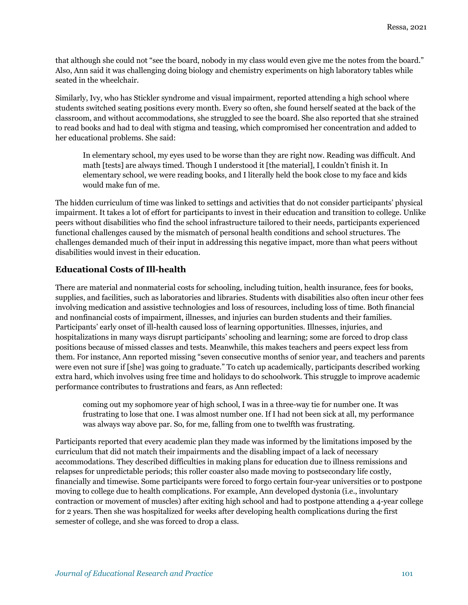that although she could not "see the board, nobody in my class would even give me the notes from the board." Also, Ann said it was challenging doing biology and chemistry experiments on high laboratory tables while seated in the wheelchair.

Similarly, Ivy, who has Stickler syndrome and visual impairment, reported attending a high school where students switched seating positions every month. Every so often, she found herself seated at the back of the classroom, and without accommodations, she struggled to see the board. She also reported that she strained to read books and had to deal with stigma and teasing, which compromised her concentration and added to her educational problems. She said:

In elementary school, my eyes used to be worse than they are right now. Reading was difficult. And math [tests] are always timed. Though I understood it [the material], I couldn't finish it. In elementary school, we were reading books, and I literally held the book close to my face and kids would make fun of me.

The hidden curriculum of time was linked to settings and activities that do not consider participants' physical impairment. It takes a lot of effort for participants to invest in their education and transition to college. Unlike peers without disabilities who find the school infrastructure tailored to their needs, participants experienced functional challenges caused by the mismatch of personal health conditions and school structures. The challenges demanded much of their input in addressing this negative impact, more than what peers without disabilities would invest in their education.

### **Educational Costs of Ill-health**

There are material and nonmaterial costs for schooling, including tuition, health insurance, fees for books, supplies, and facilities, such as laboratories and libraries. Students with disabilities also often incur other fees involving medication and assistive technologies and loss of resources, including loss of time. Both financial and nonfinancial costs of impairment, illnesses, and injuries can burden students and their families. Participants' early onset of ill-health caused loss of learning opportunities. Illnesses, injuries, and hospitalizations in many ways disrupt participants' schooling and learning; some are forced to drop class positions because of missed classes and tests. Meanwhile, this makes teachers and peers expect less from them. For instance, Ann reported missing "seven consecutive months of senior year, and teachers and parents were even not sure if [she] was going to graduate." To catch up academically, participants described working extra hard, which involves using free time and holidays to do schoolwork. This struggle to improve academic performance contributes to frustrations and fears, as Ann reflected:

coming out my sophomore year of high school, I was in a three-way tie for number one. It was frustrating to lose that one. I was almost number one. If I had not been sick at all, my performance was always way above par. So, for me, falling from one to twelfth was frustrating.

Participants reported that every academic plan they made was informed by the limitations imposed by the curriculum that did not match their impairments and the disabling impact of a lack of necessary accommodations. They described difficulties in making plans for education due to illness remissions and relapses for unpredictable periods; this roller coaster also made moving to postsecondary life costly, financially and timewise. Some participants were forced to forgo certain four-year universities or to postpone moving to college due to health complications. For example, Ann developed dystonia (i.e., involuntary contraction or movement of muscles) after exiting high school and had to postpone attending a 4-year college for 2 years. Then she was hospitalized for weeks after developing health complications during the first semester of college, and she was forced to drop a class.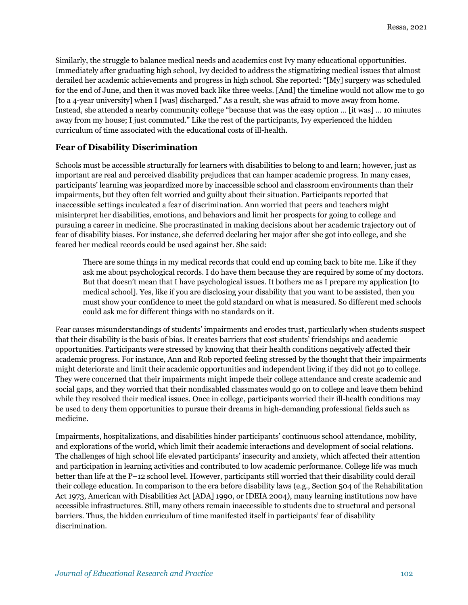Similarly, the struggle to balance medical needs and academics cost Ivy many educational opportunities. Immediately after graduating high school, Ivy decided to address the stigmatizing medical issues that almost derailed her academic achievements and progress in high school. She reported: "[My] surgery was scheduled for the end of June, and then it was moved back like three weeks. [And] the timeline would not allow me to go [to a 4-year university] when I [was] discharged." As a result, she was afraid to move away from home. Instead, she attended a nearby community college "because that was the easy option … [it was] … 10 minutes away from my house; I just commuted." Like the rest of the participants, Ivy experienced the hidden curriculum of time associated with the educational costs of ill-health.

### **Fear of Disability Discrimination**

Schools must be accessible structurally for learners with disabilities to belong to and learn; however, just as important are real and perceived disability prejudices that can hamper academic progress. In many cases, participants' learning was jeopardized more by inaccessible school and classroom environments than their impairments, but they often felt worried and guilty about their situation. Participants reported that inaccessible settings inculcated a fear of discrimination. Ann worried that peers and teachers might misinterpret her disabilities, emotions, and behaviors and limit her prospects for going to college and pursuing a career in medicine. She procrastinated in making decisions about her academic trajectory out of fear of disability biases. For instance, she deferred declaring her major after she got into college, and she feared her medical records could be used against her. She said:

There are some things in my medical records that could end up coming back to bite me. Like if they ask me about psychological records. I do have them because they are required by some of my doctors. But that doesn't mean that I have psychological issues. It bothers me as I prepare my application [to medical school]. Yes, like if you are disclosing your disability that you want to be assisted, then you must show your confidence to meet the gold standard on what is measured. So different med schools could ask me for different things with no standards on it.

Fear causes misunderstandings of students' impairments and erodes trust, particularly when students suspect that their disability is the basis of bias. It creates barriers that cost students' friendships and academic opportunities. Participants were stressed by knowing that their health conditions negatively affected their academic progress. For instance, Ann and Rob reported feeling stressed by the thought that their impairments might deteriorate and limit their academic opportunities and independent living if they did not go to college. They were concerned that their impairments might impede their college attendance and create academic and social gaps, and they worried that their nondisabled classmates would go on to college and leave them behind while they resolved their medical issues. Once in college, participants worried their ill-health conditions may be used to deny them opportunities to pursue their dreams in high-demanding professional fields such as medicine.

Impairments, hospitalizations, and disabilities hinder participants' continuous school attendance, mobility, and explorations of the world, which limit their academic interactions and development of social relations. The challenges of high school life elevated participants' insecurity and anxiety, which affected their attention and participation in learning activities and contributed to low academic performance. College life was much better than life at the P–12 school level. However, participants still worried that their disability could derail their college education. In comparison to the era before disability laws (e.g., Section 504 of the Rehabilitation Act 1973, American with Disabilities Act [ADA] 1990, or IDEIA 2004), many learning institutions now have accessible infrastructures. Still, many others remain inaccessible to students due to structural and personal barriers. Thus, the hidden curriculum of time manifested itself in participants' fear of disability discrimination.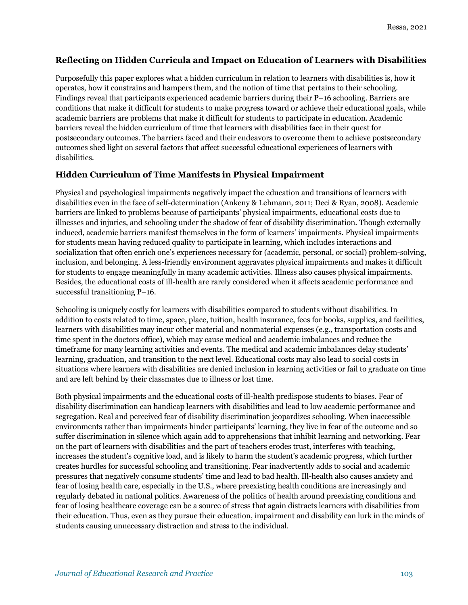### **Reflecting on Hidden Curricula and Impact on Education of Learners with Disabilities**

Purposefully this paper explores what a hidden curriculum in relation to learners with disabilities is, how it operates, how it constrains and hampers them, and the notion of time that pertains to their schooling. Findings reveal that participants experienced academic barriers during their P–16 schooling. Barriers are conditions that make it difficult for students to make progress toward or achieve their educational goals, while academic barriers are problems that make it difficult for students to participate in education. Academic barriers reveal the hidden curriculum of time that learners with disabilities face in their quest for postsecondary outcomes. The barriers faced and their endeavors to overcome them to achieve postsecondary outcomes shed light on several factors that affect successful educational experiences of learners with disabilities.

### **Hidden Curriculum of Time Manifests in Physical Impairment**

Physical and psychological impairments negatively impact the education and transitions of learners with disabilities even in the face of self-determination (Ankeny & Lehmann, 2011; Deci & Ryan, 2008). Academic barriers are linked to problems because of participants' physical impairments, educational costs due to illnesses and injuries, and schooling under the shadow of fear of disability discrimination. Though externally induced, academic barriers manifest themselves in the form of learners' impairments. Physical impairments for students mean having reduced quality to participate in learning, which includes interactions and socialization that often enrich one's experiences necessary for (academic, personal, or social) problem-solving, inclusion, and belonging. A less-friendly environment aggravates physical impairments and makes it difficult for students to engage meaningfully in many academic activities. Illness also causes physical impairments. Besides, the educational costs of ill-health are rarely considered when it affects academic performance and successful transitioning P–16.

Schooling is uniquely costly for learners with disabilities compared to students without disabilities. In addition to costs related to time, space, place, tuition, health insurance, fees for books, supplies, and facilities, learners with disabilities may incur other material and nonmaterial expenses (e.g., transportation costs and time spent in the doctors office), which may cause medical and academic imbalances and reduce the timeframe for many learning activities and events. The medical and academic imbalances delay students' learning, graduation, and transition to the next level. Educational costs may also lead to social costs in situations where learners with disabilities are denied inclusion in learning activities or fail to graduate on time and are left behind by their classmates due to illness or lost time.

Both physical impairments and the educational costs of ill-health predispose students to biases. Fear of disability discrimination can handicap learners with disabilities and lead to low academic performance and segregation. Real and perceived fear of disability discrimination jeopardizes schooling. When inaccessible environments rather than impairments hinder participants' learning, they live in fear of the outcome and so suffer discrimination in silence which again add to apprehensions that inhibit learning and networking. Fear on the part of learners with disabilities and the part of teachers erodes trust, interferes with teaching, increases the student's cognitive load, and is likely to harm the student's academic progress, which further creates hurdles for successful schooling and transitioning. Fear inadvertently adds to social and academic pressures that negatively consume students' time and lead to bad health. Ill-health also causes anxiety and fear of losing health care, especially in the U.S., where preexisting health conditions are increasingly and regularly debated in national politics. Awareness of the politics of health around preexisting conditions and fear of losing healthcare coverage can be a source of stress that again distracts learners with disabilities from their education. Thus, even as they pursue their education, impairment and disability can lurk in the minds of students causing unnecessary distraction and stress to the individual.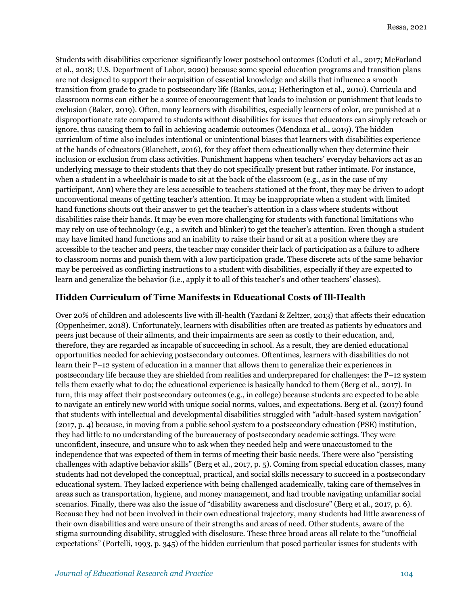Students with disabilities experience significantly lower postschool outcomes (Coduti et al., 2017; McFarland et al., 2018; U.S. Department of Labor, 2020) because some special education programs and transition plans are not designed to support their acquisition of essential knowledge and skills that influence a smooth transition from grade to grade to postsecondary life (Banks, 2014; Hetherington et al., 2010). Curricula and classroom norms can either be a source of encouragement that leads to inclusion or punishment that leads to exclusion (Baker, 2019). Often, many learners with disabilities, especially learners of color, are punished at a disproportionate rate compared to students without disabilities for issues that educators can simply reteach or ignore, thus causing them to fail in achieving academic outcomes (Mendoza et al., 2019). The hidden curriculum of time also includes intentional or unintentional biases that learners with disabilities experience at the hands of educators (Blanchett, 2016), for they affect them educationally when they determine their inclusion or exclusion from class activities. Punishment happens when teachers' everyday behaviors act as an underlying message to their students that they do not specifically present but rather intimate. For instance, when a student in a wheelchair is made to sit at the back of the classroom (e.g., as in the case of my participant, Ann) where they are less accessible to teachers stationed at the front, they may be driven to adopt unconventional means of getting teacher's attention. It may be inappropriate when a student with limited hand functions shouts out their answer to get the teacher's attention in a class where students without disabilities raise their hands. It may be even more challenging for students with functional limitations who may rely on use of technology (e.g., a switch and blinker) to get the teacher's attention. Even though a student may have limited hand functions and an inability to raise their hand or sit at a position where they are accessible to the teacher and peers, the teacher may consider their lack of participation as a failure to adhere to classroom norms and punish them with a low participation grade. These discrete acts of the same behavior may be perceived as conflicting instructions to a student with disabilities, especially if they are expected to learn and generalize the behavior (i.e., apply it to all of this teacher's and other teachers' classes).

#### **Hidden Curriculum of Time Manifests in Educational Costs of Ill-Health**

Over 20% of children and adolescents live with ill-health (Yazdani & Zeltzer, 2013) that affects their education (Oppenheimer, 2018). Unfortunately, learners with disabilities often are treated as patients by educators and peers just because of their ailments, and their impairments are seen as costly to their education, and, therefore, they are regarded as incapable of succeeding in school. As a result, they are denied educational opportunities needed for achieving postsecondary outcomes. Oftentimes, learners with disabilities do not learn their P–12 system of education in a manner that allows them to generalize their experiences in postsecondary life because they are shielded from realities and underprepared for challenges: the P–12 system tells them exactly what to do; the educational experience is basically handed to them (Berg et al., 2017). In turn, this may affect their postsecondary outcomes (e.g., in college) because students are expected to be able to navigate an entirely new world with unique social norms, values, and expectations. Berg et al. (2017) found that students with intellectual and developmental disabilities struggled with "adult-based system navigation" (2017, p. 4) because, in moving from a public school system to a postsecondary education (PSE) institution, they had little to no understanding of the bureaucracy of postsecondary academic settings. They were unconfident, insecure, and unsure who to ask when they needed help and were unaccustomed to the independence that was expected of them in terms of meeting their basic needs. There were also "persisting challenges with adaptive behavior skills" (Berg et al., 2017, p. 5). Coming from special education classes, many students had not developed the conceptual, practical, and social skills necessary to succeed in a postsecondary educational system. They lacked experience with being challenged academically, taking care of themselves in areas such as transportation, hygiene, and money management, and had trouble navigating unfamiliar social scenarios. Finally, there was also the issue of "disability awareness and disclosure" (Berg et al., 2017, p. 6). Because they had not been involved in their own educational trajectory, many students had little awareness of their own disabilities and were unsure of their strengths and areas of need. Other students, aware of the stigma surrounding disability, struggled with disclosure. These three broad areas all relate to the "unofficial expectations" (Portelli, 1993, p. 345) of the hidden curriculum that posed particular issues for students with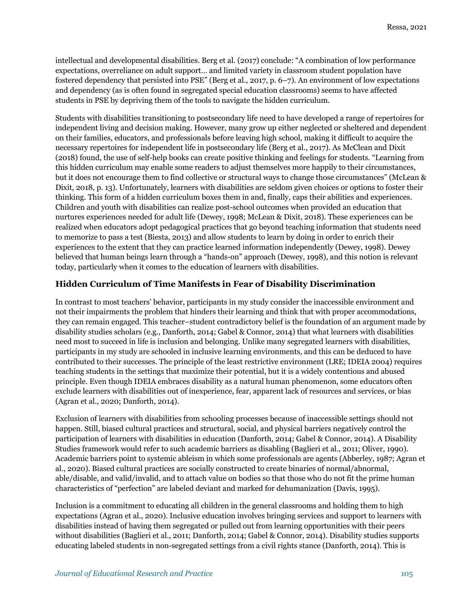intellectual and developmental disabilities. Berg et al. (2017) conclude: "A combination of low performance expectations, overreliance on adult support… and limited variety in classroom student population have fostered dependency that persisted into PSE" (Berg et al., 2017, p. 6–7). An environment of low expectations and dependency (as is often found in segregated special education classrooms) seems to have affected students in PSE by depriving them of the tools to navigate the hidden curriculum.

Students with disabilities transitioning to postsecondary life need to have developed a range of repertoires for independent living and decision making. However, many grow up either neglected or sheltered and dependent on their families, educators, and professionals before leaving high school, making it difficult to acquire the necessary repertoires for independent life in postsecondary life (Berg et al., 2017). As McClean and Dixit (2018) found, the use of self-help books can create positive thinking and feelings for students. "Learning from this hidden curriculum may enable some readers to adjust themselves more happily to their circumstances, but it does not encourage them to find collective or structural ways to change those circumstances" (McLean & Dixit, 2018, p. 13). Unfortunately, learners with disabilities are seldom given choices or options to foster their thinking. This form of a hidden curriculum boxes them in and, finally, caps their abilities and experiences. Children and youth with disabilities can realize post-school outcomes when provided an education that nurtures experiences needed for adult life (Dewey, 1998; McLean & Dixit, 2018). These experiences can be realized when educators adopt pedagogical practices that go beyond teaching information that students need to memorize to pass a test (Biesta, 2013) and allow students to learn by doing in order to enrich their experiences to the extent that they can practice learned information independently (Dewey, 1998). Dewey believed that human beings learn through a "hands-on" approach (Dewey, 1998), and this notion is relevant today, particularly when it comes to the education of learners with disabilities.

### **Hidden Curriculum of Time Manifests in Fear of Disability Discrimination**

In contrast to most teachers' behavior, participants in my study consider the inaccessible environment and not their impairments the problem that hinders their learning and think that with proper accommodations, they can remain engaged. This teacher–student contradictory belief is the foundation of an argument made by disability studies scholars (e.g., Danforth, 2014; Gabel & Connor, 2014) that what learners with disabilities need most to succeed in life is inclusion and belonging. Unlike many segregated learners with disabilities, participants in my study are schooled in inclusive learning environments, and this can be deduced to have contributed to their successes. The principle of the least restrictive environment (LRE; IDEIA 2004) requires teaching students in the settings that maximize their potential, but it is a widely contentious and abused principle. Even though IDEIA embraces disability as a natural human phenomenon, some educators often exclude learners with disabilities out of inexperience, fear, apparent lack of resources and services, or bias (Agran et al., 2020; Danforth, 2014).

Exclusion of learners with disabilities from schooling processes because of inaccessible settings should not happen. Still, biased cultural practices and structural, social, and physical barriers negatively control the participation of learners with disabilities in education (Danforth, 2014; Gabel & Connor, 2014). A Disability Studies framework would refer to such academic barriers as disabling (Baglieri et al., 2011; Oliver, 1990). Academic barriers point to systemic ableism in which some professionals are agents (Abberley, 1987; Agran et al., 2020). Biased cultural practices are socially constructed to create binaries of normal/abnormal, able/disable, and valid/invalid, and to attach value on bodies so that those who do not fit the prime human characteristics of "perfection" are labeled deviant and marked for dehumanization (Davis, 1995).

Inclusion is a commitment to educating all children in the general classrooms and holding them to high expectations (Agran et al., 2020). Inclusive education involves bringing services and support to learners with disabilities instead of having them segregated or pulled out from learning opportunities with their peers without disabilities (Baglieri et al., 2011; Danforth, 2014; Gabel & Connor, 2014). Disability studies supports educating labeled students in non-segregated settings from a civil rights stance (Danforth, 2014). This is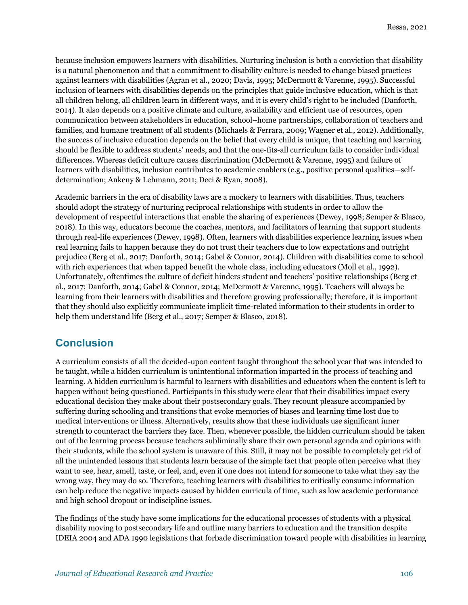because inclusion empowers learners with disabilities. Nurturing inclusion is both a conviction that disability is a natural phenomenon and that a commitment to disability culture is needed to change biased practices against learners with disabilities (Agran et al., 2020; Davis, 1995; McDermott & Varenne, 1995). Successful inclusion of learners with disabilities depends on the principles that guide inclusive education, which is that all children belong, all children learn in different ways, and it is every child's right to be included (Danforth, 2014). It also depends on a positive climate and culture, availability and efficient use of resources, open communication between stakeholders in education, school–home partnerships, collaboration of teachers and families, and humane treatment of all students (Michaels & Ferrara, 2009; Wagner et al., 2012). Additionally, the success of inclusive education depends on the belief that every child is unique, that teaching and learning should be flexible to address students' needs, and that the one-fits-all curriculum fails to consider individual differences. Whereas deficit culture causes discrimination (McDermott & Varenne, 1995) and failure of learners with disabilities, inclusion contributes to academic enablers (e.g., positive personal qualities—selfdetermination; Ankeny & Lehmann, 2011; Deci & Ryan, 2008).

Academic barriers in the era of disability laws are a mockery to learners with disabilities. Thus, teachers should adopt the strategy of nurturing reciprocal relationships with students in order to allow the development of respectful interactions that enable the sharing of experiences (Dewey, 1998; Semper & Blasco, 2018). In this way, educators become the coaches, mentors, and facilitators of learning that support students through real-life experiences (Dewey, 1998). Often, learners with disabilities experience learning issues when real learning fails to happen because they do not trust their teachers due to low expectations and outright prejudice (Berg et al., 2017; Danforth, 2014; Gabel & Connor, 2014). Children with disabilities come to school with rich experiences that when tapped benefit the whole class, including educators (Moll et al., 1992). Unfortunately, oftentimes the culture of deficit hinders student and teachers' positive relationships (Berg et al., 2017; Danforth, 2014; Gabel & Connor, 2014; McDermott & Varenne, 1995). Teachers will always be learning from their learners with disabilities and therefore growing professionally; therefore, it is important that they should also explicitly communicate implicit time-related information to their students in order to help them understand life (Berg et al., 2017; Semper & Blasco, 2018).

### **Conclusion**

A curriculum consists of all the decided-upon content taught throughout the school year that was intended to be taught, while a hidden curriculum is unintentional information imparted in the process of teaching and learning. A hidden curriculum is harmful to learners with disabilities and educators when the content is left to happen without being questioned. Participants in this study were clear that their disabilities impact every educational decision they make about their postsecondary goals. They recount pleasure accompanied by suffering during schooling and transitions that evoke memories of biases and learning time lost due to medical interventions or illness. Alternatively, results show that these individuals use significant inner strength to counteract the barriers they face. Then, whenever possible, the hidden curriculum should be taken out of the learning process because teachers subliminally share their own personal agenda and opinions with their students, while the school system is unaware of this. Still, it may not be possible to completely get rid of all the unintended lessons that students learn because of the simple fact that people often perceive what they want to see, hear, smell, taste, or feel, and, even if one does not intend for someone to take what they say the wrong way, they may do so. Therefore, teaching learners with disabilities to critically consume information can help reduce the negative impacts caused by hidden curricula of time, such as low academic performance and high school dropout or indiscipline issues.

The findings of the study have some implications for the educational processes of students with a physical disability moving to postsecondary life and outline many barriers to education and the transition despite IDEIA 2004 and ADA 1990 legislations that forbade discrimination toward people with disabilities in learning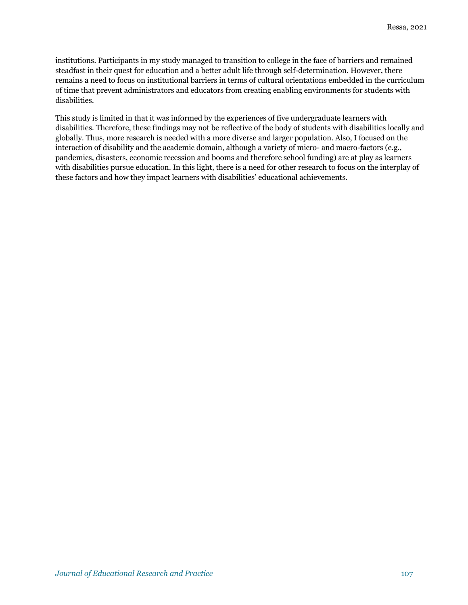institutions. Participants in my study managed to transition to college in the face of barriers and remained steadfast in their quest for education and a better adult life through self-determination. However, there remains a need to focus on institutional barriers in terms of cultural orientations embedded in the curriculum of time that prevent administrators and educators from creating enabling environments for students with disabilities.

This study is limited in that it was informed by the experiences of five undergraduate learners with disabilities. Therefore, these findings may not be reflective of the body of students with disabilities locally and globally. Thus, more research is needed with a more diverse and larger population. Also, I focused on the interaction of disability and the academic domain, although a variety of micro- and macro-factors (e.g., pandemics, disasters, economic recession and booms and therefore school funding) are at play as learners with disabilities pursue education. In this light, there is a need for other research to focus on the interplay of these factors and how they impact learners with disabilities' educational achievements.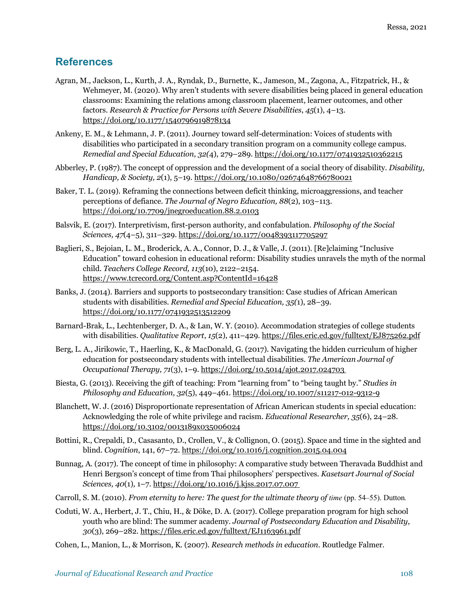## **References**

- Agran, M., Jackson, L., Kurth, J. A., Ryndak, D., Burnette, K., Jameson, M., Zagona, A., Fitzpatrick, H., & Wehmeyer, M. (2020). Why aren't students with severe disabilities being placed in general education classrooms: Examining the relations among classroom placement, learner outcomes, and other factors. *Research & Practice for Persons with Severe Disabilities*, *45*(1), 4–13. https://doi.org/10.1177/1540796919878134
- Ankeny, E. M., & Lehmann, J. P. (2011). Journey toward self-determination: Voices of students with disabilities who participated in a secondary transition program on a community college campus. *Remedial and Special Education, 32(*4), 279–289. https://doi.org/10.1177/0741932510362215
- Abberley, P. (1987). The concept of oppression and the development of a social theory of disability. *Disability, Handicap, & Society, 2*(1), 5–19. https://doi.org/10.1080/02674648766780021
- Baker, T. L. (2019). Reframing the connections between deficit thinking, microaggressions, and teacher perceptions of defiance. *The Journal of Negro Education, 88*(2), 103–113. https://doi.org/10.7709/jnegroeducation.88.2.0103
- Balsvik, E. (2017). Interpretivism, first-person authority, and confabulation. *Philosophy of the Social Sciences, 47*(4–5), 311–329. https://doi.org/10.1177/0048393117705297
- Baglieri, S., Bejoian, L. M., Broderick, A. A., Connor, D. J., & Valle, J. (2011). [Re]claiming "Inclusive Education" toward cohesion in educational reform: Disability studies unravels the myth of the normal child. *Teachers College Record, 113*(10), 2122–2154. https://www.tcrecord.org/Content.asp?ContentId=16428
- Banks, J. (2014). Barriers and supports to postsecondary transition: Case studies of African American students with disabilities. *Remedial and Special Education, 35(*1), 28–39. https://doi.org/10.1177/0741932513512209
- Barnard-Brak, L., Lechtenberger, D. A., & Lan, W. Y. (2010). Accommodation strategies of college students with disabilities. *Qualitative Report*, *15*(2), 411–429. https://files.eric.ed.gov/fulltext/EJ875262.pdf
- Berg, L. A., Jirikowic, T., Haerling, K., & MacDonald, G. (2017). Navigating the hidden curriculum of higher education for postsecondary students with intellectual disabilities. *The American Journal of Occupational Therapy*, *71*(3), 1–9. https://doi.org/10.5014/ajot.2017.024703
- Biesta, G. (2013). Receiving the gift of teaching: From "learning from" to "being taught by." *Studies in Philosophy and Education, 32*(5), 449–461. https://doi.org/10.1007/s11217-012-9312-9
- Blanchett, W. J. (2016) Disproportionate representation of African American students in special education: Acknowledging the role of white privilege and racism. *Educational Researcher, 35*(6), 24–28. https://doi.org/10.3102/0013189x035006024
- Bottini, R., Crepaldi, D., Casasanto, D., Crollen, V., & Collignon, O. (2015). Space and time in the sighted and blind. *Cognition*, 141, 67–72. https://doi.org/10.1016/j.cognition.2015.04.004
- Bunnag, A. (2017). The concept of time in philosophy: A comparative study between Theravada Buddhist and Henri Bergson's concept of time from Thai philosophers' perspectives*. Kasetsart Journal of Social Sciences, 40*(1)*,* 1–7*.* https://doi.org/10.1016/j.kjss.2017.07.007
- Carroll, S. M. (2010). *From eternity to here: The quest for the ultimate theory of <i>time* (pp. 54–55). Dutton.
- Coduti, W. A., Herbert, J. T., Chiu, H., & Döke, D. A. (2017). College preparation program for high school youth who are blind: The summer academy. *Journal of Postsecondary Education and Disability*, *30*(3), 269–282. https://files.eric.ed.gov/fulltext/EJ1163961.pdf
- Cohen, L., Manion, L., & Morrison, K. (2007). *Research methods in education*. Routledge Falmer.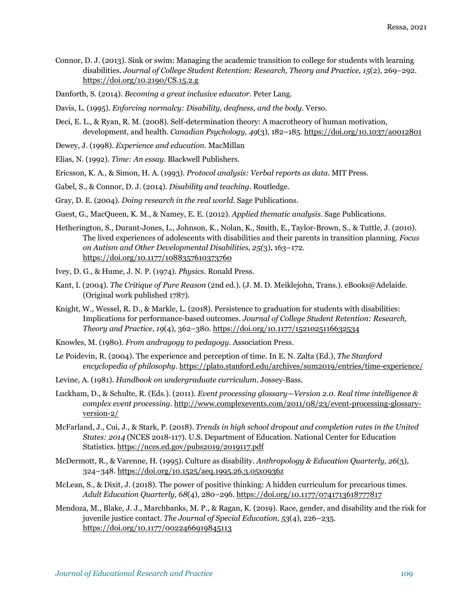- Connor, D. J. (2013). Sink or swim: Managing the academic transition to college for students with learning disabilities. *Journal of College Student Retention: Research, Theory and Practice, 15*(2), 269–292. https://doi.org/10.2190/CS.15.2.g
- Danforth, S. (2014). *Becoming a great inclusive educator*. Peter Lang.
- Davis, L. (1995). *Enforcing normalcy: Disability, deafness, and the body*. Verso.
- Deci, E. L., & Ryan, R. M. (2008). Self-determination theory: A macrotheory of human motivation, development, and health. *Canadian Psychology, 49*(3), 182–185. https://doi.org/10.1037/a0012801
- Dewey, J. (1998). *Experience and education*. MacMillan
- Elias, N. (1992). *Time: An essay.* Blackwell Publishers.
- Ericsson, K. A., & Simon, H. A. (1993). *Protocol analysis: Verbal reports as data*. MIT Press.
- Gabel, S., & Connor, D. J. (2014). *Disability and teaching*. Routledge.
- Gray, D. E. (2004). *Doing research in the real world*. Sage Publications.
- Guest, G., MacQueen, K. M., & Namey, E. E. (2012). *Applied thematic analysis*. Sage Publications.
- Hetherington, S., Durant-Jones, L., Johnson, K., Nolan, K., Smith, E., Taylor-Brown, S., & Tuttle, J. (2010). The lived experiences of adolescents with disabilities and their parents in transition planning. *Focus on Autism and Other Developmental Disabilities, 25(*3), 163–172. https://doi.org/10.1177/1088357610373760
- Ivey, D. G., & Hume, J. N. P. (1974). *Physics.* Ronald Press.
- Kant, I. (2004). *The Critique of Pure Reason* (2nd ed.). (J. M. D. Meiklejohn, Trans.). eBooks@Adelaide. (Original work published 1787).
- Knight, W., Wessel, R. D., & Markle, L. (2018). Persistence to graduation for students with disabilities: Implications for performance-based outcomes. *Journal of College Student Retention: Research, Theory and Practice*, *19*(4), 362–380. https://doi.org/10.1177/1521025116632534
- Knowles, M. (1980). *From andragogy to pedagogy*. Association Press.
- Le Poidevin, R. (2004). The experience and perception of time*.* In E. N. Zalta (Ed.), *The Stanford encyclopedia of philosophy*. https://plato.stanford.edu/archives/sum2019/entries/time-experience/
- Levine, A. (1981). *Handbook on undergraduate curriculum*. Jossey-Bass.
- Luckham, D., & Schulte, R. (Eds.). (2011). *Event processing glossary—Version 2.0. Real time intelligence & complex event processing*. http://www.complexevents.com/2011/08/23/event-processing-glossaryversion-2/
- McFarland, J., Cui, J., & Stark, P. (2018). *Trends in high school dropout and completion rates in the United States: 2014* (NCES 2018-117). U.S. Department of Education. National Center for Education Statistics. https://nces.ed.gov/pubs2019/2019117.pdf
- McDermott, R., & Varenne, H. (1995). Culture as disability. *Anthropology & Education Quarterly, 26*(3), 324–348. https://doi.org/10.1525/aeq.1995.26.3.05x0936z
- McLean, S., & Dixit, J. (2018). The power of positive thinking: A hidden curriculum for precarious times. *Adult Education Quarterly, 68*(4), 280–296. https://doi.org/10.1177/0741713618777817
- Mendoza, M., Blake, J. J., Marchbanks, M. P., & Ragan, K. (2019). Race, gender, and disability and the risk for juvenile justice contact. *The Journal of Special Education*, *53*(4), 226–235. https://doi.org/10.1177/0022466919845113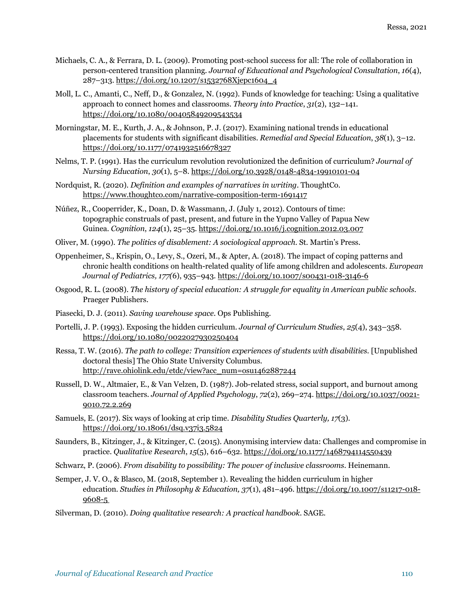- Michaels, C. A., & Ferrara, D. L. (2009). Promoting post-school success for all: The role of collaboration in person-centered transition planning. *Journal of Educational and Psychological Consultation*, *16*(4), 287–313. https://doi.org/10.1207/s1532768Xjepc1604\_4
- Moll, L. C., Amanti, C., Neff, D., & Gonzalez, N. (1992). Funds of knowledge for teaching: Using a qualitative approach to connect homes and classrooms. *Theory into Practice*, *31*(2), 132–141. https://doi.org/10.1080/00405849209543534
- Morningstar, M. E., Kurth, J. A., & Johnson, P. J. (2017). Examining national trends in educational placements for students with significant disabilities. *Remedial and Special Education*, *38*(1), 3–12. https://doi.org/10.1177/0741932516678327
- Nelms, T. P. (1991). Has the curriculum revolution revolutionized the definition of curriculum? *Journal of Nursing Education*, *30*(1), 5–8. https://doi.org/10.3928/0148-4834-19910101-04
- Nordquist, R. (2020). *Definition and examples of narratives in writing*. ThoughtCo. https://www.thoughtco.com/narrative-composition-term-1691417
- Núñez, R., Cooperrider, K., Doan, D. & Wassmann, J. (July 1, 2012). Contours of time: topographic construals of past, present, and future in the Yupno Valley of Papua New Guinea. *Cognition*, *124*(1), 25–35*.* https://doi.org/10.1016/j.cognition.2012.03.007
- Oliver, M. (1990). *The politics of disablement: A sociological approach*. St. Martin's Press.
- Oppenheimer, S., Krispin, O., Levy, S., Ozeri, M., & Apter, A. (2018). The impact of coping patterns and chronic health conditions on health-related quality of life among children and adolescents. *European Journal of Pediatrics, 177(*6), 935–943. https://doi.org/10.1007/s00431-018-3146-6
- Osgood, R. L. (2008). *The history of special education: A struggle for equality in American public schools*. Praeger Publishers.
- Piasecki, D. J. (2011). *Saving warehouse space.* Ops Publishing.
- Portelli, J. P. (1993). Exposing the hidden curriculum. *Journal of Curriculum Studies*, *25*(4), 343–358. https://doi.org/10.1080/0022027930250404
- Ressa, T. W. (2016). *The path to college: Transition experiences of students with disabilities*. [Unpublished doctoral thesis] The Ohio State University Columbus. http://rave.ohiolink.edu/etdc/view?acc\_num=osu1462887244
- Russell, D. W., Altmaier, E., & Van Velzen, D. (1987). Job-related stress, social support, and burnout among classroom teachers. *Journal of Applied Psychology*, *72*(2), 269–274. https://doi.org/10.1037/0021- 9010.72.2.269
- Samuels, E. (2017). Six ways of looking at crip time. *Disability Studies Quarterly, 17*(3). https://doi.org/10.18061/dsq.v37i3.5824
- Saunders, B., Kitzinger, J., & Kitzinger, C. (2015). Anonymising interview data: Challenges and compromise in practice. *Qualitative Research*, *15*(5), 616–632. https://doi.org/10.1177/1468794114550439
- Schwarz, P. (2006). *From disability to possibility: The power of inclusive classrooms*. Heinemann.
- Semper, J. V. O., & Blasco, M. (2018, September 1). Revealing the hidden curriculum in higher education. *Studies in Philosophy & Education, 37*(1), 481–496*.* https://doi.org/10.1007/s11217-018- 9608-5
- Silverman, D. (2010). *Doing qualitative research: A practical handbook*. SAGE.